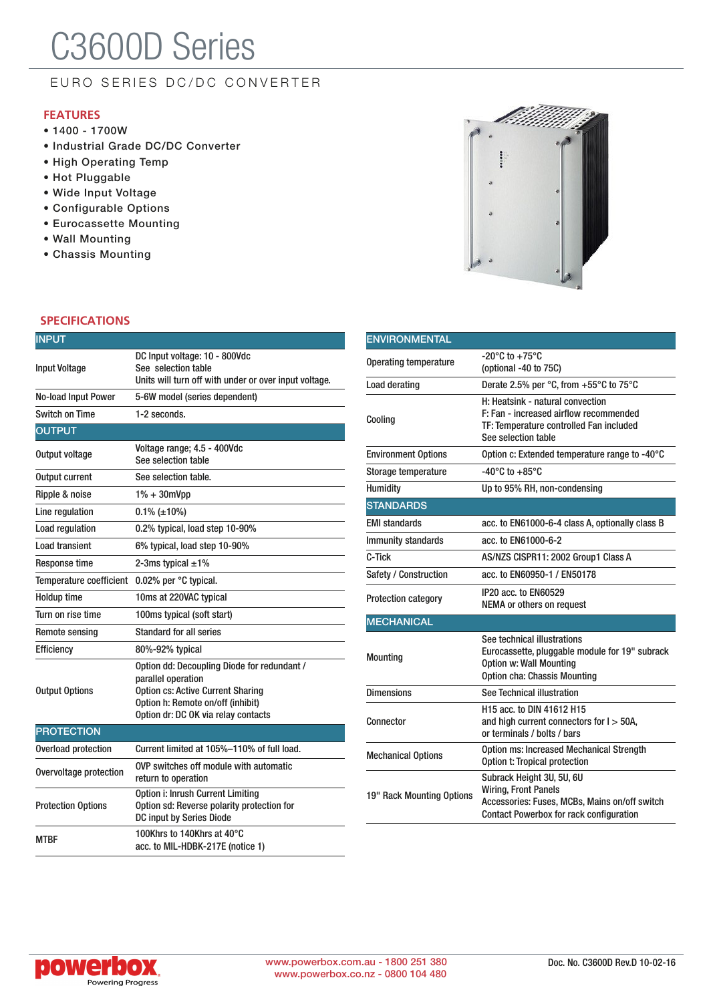# C3600D Series

### EURO SERIES DC/DC CONVERTER

#### **FEATURES**

- 1400 1700W
- Industrial Grade DC/DC Converter
- High Operating Temp
- Hot Pluggable
- Wide Input Voltage
- Configurable Options
- Eurocassette Mounting
- Wall Mounting
- Chassis Mounting

#### **SPECIFICATIONS**

| <b>INPUT</b>               |                                                                                                                                                                                           |
|----------------------------|-------------------------------------------------------------------------------------------------------------------------------------------------------------------------------------------|
| <b>Input Voltage</b>       | DC Input voltage: 10 - 800Vdc<br>See selection table<br>Units will turn off with under or over input voltage.                                                                             |
| <b>No-load Input Power</b> | 5-6W model (series dependent)                                                                                                                                                             |
| <b>Switch on Time</b>      | 1-2 seconds.                                                                                                                                                                              |
| <b>OUTPUT</b>              |                                                                                                                                                                                           |
| Output voltage             | Voltage range; 4.5 - 400Vdc<br>See selection table                                                                                                                                        |
| Output current             | See selection table.                                                                                                                                                                      |
| Ripple & noise             | $1\% + 30$ mVpp                                                                                                                                                                           |
| Line regulation            | $0.1\%$ (±10%)                                                                                                                                                                            |
| Load regulation            | 0.2% typical, load step 10-90%                                                                                                                                                            |
| Load transient             | 6% typical, load step 10-90%                                                                                                                                                              |
| <b>Response time</b>       | 2-3ms typical $\pm 1\%$                                                                                                                                                                   |
| Temperature coefficient    | 0.02% per °C typical.                                                                                                                                                                     |
| <b>Holdup time</b>         | 10ms at 220VAC typical                                                                                                                                                                    |
| Turn on rise time          | 100ms typical (soft start)                                                                                                                                                                |
| <b>Remote sensing</b>      | <b>Standard for all series</b>                                                                                                                                                            |
| Efficiency                 | 80%-92% typical                                                                                                                                                                           |
| <b>Output Options</b>      | Option dd: Decoupling Diode for redundant /<br>parallel operation<br><b>Option cs: Active Current Sharing</b><br>Option h: Remote on/off (inhibit)<br>Option dr: DC OK via relay contacts |
| <b>PROTECTION</b>          |                                                                                                                                                                                           |
| Overload protection        | Current limited at 105%-110% of full load.                                                                                                                                                |
| Overvoltage protection     | OVP switches off module with automatic<br>return to operation                                                                                                                             |
| <b>Protection Options</b>  | Option i: Inrush Current Limiting<br>Option sd: Reverse polarity protection for<br>DC input by Series Diode                                                                               |
| MTBF                       | 100Khrs to 140Khrs at 40°C<br>acc. to MIL-HDBK-217E (notice 1)                                                                                                                            |



| <b>ENVIRONMENTAL</b>         |                                                                                                                                                             |  |  |  |  |  |
|------------------------------|-------------------------------------------------------------------------------------------------------------------------------------------------------------|--|--|--|--|--|
| <b>Operating temperature</b> | -20°C to +75°C<br>(optional -40 to 75C)                                                                                                                     |  |  |  |  |  |
| Load derating                | Derate 2.5% per °C, from +55°C to 75°C                                                                                                                      |  |  |  |  |  |
| Cooling                      | H: Heatsink - natural convection<br>F: Fan - increased airflow recommended<br>TF: Temperature controlled Fan included<br>See selection table                |  |  |  |  |  |
| <b>Environment Options</b>   | Option c: Extended temperature range to -40°C                                                                                                               |  |  |  |  |  |
| Storage temperature          | $-40^{\circ}$ C to $+85^{\circ}$ C                                                                                                                          |  |  |  |  |  |
| <b>Humidity</b>              | Up to 95% RH, non-condensing                                                                                                                                |  |  |  |  |  |
| <b>STANDARDS</b>             |                                                                                                                                                             |  |  |  |  |  |
| <b>EMI standards</b>         | acc. to EN61000-6-4 class A, optionally class B                                                                                                             |  |  |  |  |  |
| <b>Immunity standards</b>    | acc. to EN61000-6-2                                                                                                                                         |  |  |  |  |  |
| C-Tick                       | AS/NZS CISPR11: 2002 Group1 Class A                                                                                                                         |  |  |  |  |  |
| Safety / Construction        | acc. to EN60950-1 / EN50178                                                                                                                                 |  |  |  |  |  |
| Protection category          | IP20 acc. to EN60529<br><b>NEMA or others on request</b>                                                                                                    |  |  |  |  |  |
| <b>MECHANICAL</b>            |                                                                                                                                                             |  |  |  |  |  |
| <b>Mounting</b>              | See technical illustrations<br>Eurocassette, pluggable module for 19" subrack<br><b>Option w: Wall Mounting</b><br><b>Option cha: Chassis Mounting</b>      |  |  |  |  |  |
| <b>Dimensions</b>            | See Technical illustration                                                                                                                                  |  |  |  |  |  |
| Connector                    | H15 acc. to DIN 41612 H15<br>and high current connectors for $I > 50A$ ,<br>or terminals / bolts / bars                                                     |  |  |  |  |  |
| <b>Mechanical Options</b>    | <b>Option ms: Increased Mechanical Strength</b><br>Option t: Tropical protection                                                                            |  |  |  |  |  |
| 19" Rack Mounting Options    | Subrack Height 3U, 5U, 6U<br><b>Wiring, Front Panels</b><br>Accessories: Fuses, MCBs, Mains on/off switch<br><b>Contact Powerbox for rack configuration</b> |  |  |  |  |  |

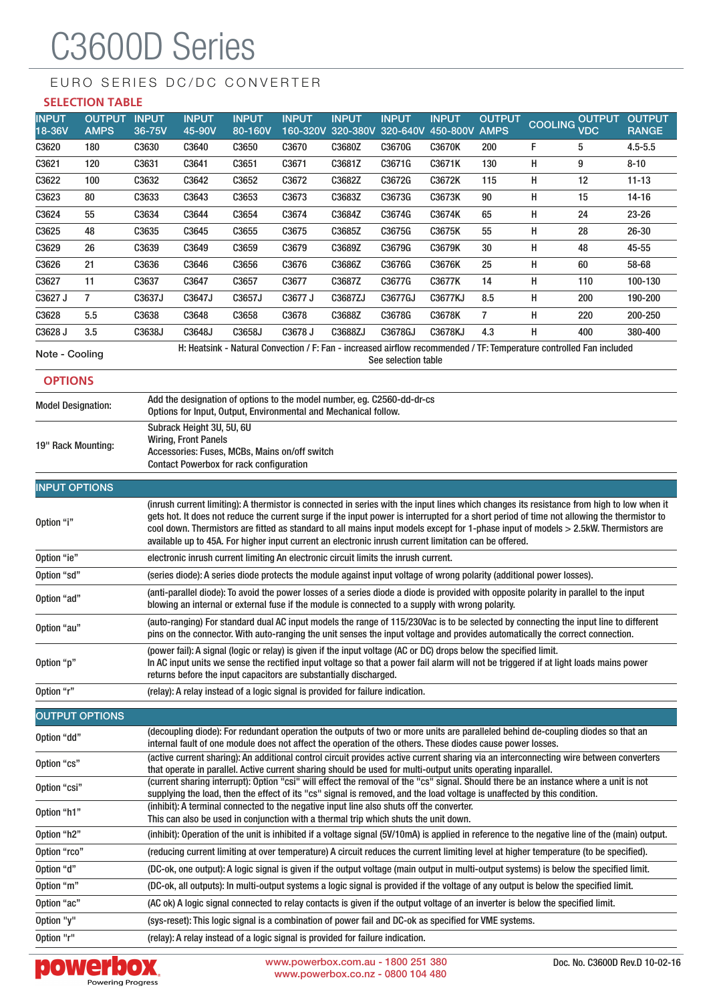# C3600D Series

## EURO SERIES DC/DC CONVERTER

#### **SELECTION TABLE**

| <b>INPUT</b><br>18-36V           | <b>OUTPUT</b><br><b>AMPS</b>                                                                                                                                                                                                                                                                                                                                                                                                                                                                                                            | <b>INPUT</b><br>36-75V                                                                                                                                                                                                                                                                                                                                        | <b>INPUT</b><br>45-90V | <b>INPUT</b><br>80-160V | <b>INPUT</b>                                                                                                                                                                                                                               | <b>INPUT</b> | <b>INPUT</b>        | <b>INPUT</b><br>160-320V 320-380V 320-640V 450-800V | <b>OUTPUT</b><br><b>AMPS</b> | <b>COOLING</b> | <b>OUTPUT</b><br><b>VDC</b> | <b>OUTPUT</b><br><b>RANGE</b> |
|----------------------------------|-----------------------------------------------------------------------------------------------------------------------------------------------------------------------------------------------------------------------------------------------------------------------------------------------------------------------------------------------------------------------------------------------------------------------------------------------------------------------------------------------------------------------------------------|---------------------------------------------------------------------------------------------------------------------------------------------------------------------------------------------------------------------------------------------------------------------------------------------------------------------------------------------------------------|------------------------|-------------------------|--------------------------------------------------------------------------------------------------------------------------------------------------------------------------------------------------------------------------------------------|--------------|---------------------|-----------------------------------------------------|------------------------------|----------------|-----------------------------|-------------------------------|
| C3620                            | 180                                                                                                                                                                                                                                                                                                                                                                                                                                                                                                                                     | C3630                                                                                                                                                                                                                                                                                                                                                         | C3640                  | C3650                   | C3670                                                                                                                                                                                                                                      | C3680Z       | C3670G              | C3670K                                              | 200                          | F              | 5                           | $4.5 - 5.5$                   |
| C3621                            | 120                                                                                                                                                                                                                                                                                                                                                                                                                                                                                                                                     | C3631                                                                                                                                                                                                                                                                                                                                                         | C3641                  | C3651                   | C3671                                                                                                                                                                                                                                      | C3681Z       | C3671G              | C3671K                                              | 130                          | н              | 9                           | $8 - 10$                      |
| C3622                            | 100                                                                                                                                                                                                                                                                                                                                                                                                                                                                                                                                     | C3632                                                                                                                                                                                                                                                                                                                                                         | C3642                  | C3652                   | C3672                                                                                                                                                                                                                                      | C3682Z       | C3672G              | C3672K                                              | 115                          | н              | 12                          | $11 - 13$                     |
| C3623                            | 80                                                                                                                                                                                                                                                                                                                                                                                                                                                                                                                                      | C3633                                                                                                                                                                                                                                                                                                                                                         | C3643                  | C3653                   | C3673                                                                                                                                                                                                                                      | C3683Z       | C3673G              | C3673K                                              | 90                           | н              | 15                          | $14 - 16$                     |
| C3624                            | 55                                                                                                                                                                                                                                                                                                                                                                                                                                                                                                                                      | C3634                                                                                                                                                                                                                                                                                                                                                         | C3644                  | C3654                   | C3674                                                                                                                                                                                                                                      | C3684Z       | C3674G              | C3674K                                              | 65                           | н              | 24                          | $23 - 26$                     |
| C3625                            | 48                                                                                                                                                                                                                                                                                                                                                                                                                                                                                                                                      | C3635                                                                                                                                                                                                                                                                                                                                                         | C3645                  | C3655                   | C3675                                                                                                                                                                                                                                      | C3685Z       | C3675G              | C3675K                                              | 55                           | н              | 28                          | $26 - 30$                     |
| C3629                            | 26                                                                                                                                                                                                                                                                                                                                                                                                                                                                                                                                      | C3639                                                                                                                                                                                                                                                                                                                                                         | C3649                  | C3659                   | C3679                                                                                                                                                                                                                                      | C3689Z       | C3679G              | C3679K                                              | 30                           | н              | 48                          | 45-55                         |
| C3626                            | 21                                                                                                                                                                                                                                                                                                                                                                                                                                                                                                                                      | C3636                                                                                                                                                                                                                                                                                                                                                         | C3646                  | C3656                   | C3676                                                                                                                                                                                                                                      | C3686Z       | C3676G              | C3676K                                              | 25                           | н              | 60                          | 58-68                         |
| C3627                            | 11                                                                                                                                                                                                                                                                                                                                                                                                                                                                                                                                      | C3637                                                                                                                                                                                                                                                                                                                                                         | C3647                  | C3657                   | C3677                                                                                                                                                                                                                                      | C3687Z       | C3677G              | C3677K                                              | 14                           | н              | 110                         | 100-130                       |
| C3627 J                          | 7                                                                                                                                                                                                                                                                                                                                                                                                                                                                                                                                       | C3637J                                                                                                                                                                                                                                                                                                                                                        | C3647J                 | C3657J                  | C3677 J                                                                                                                                                                                                                                    | C3687ZJ      | C3677GJ             | <b>C3677KJ</b>                                      | 8.5                          | н              | 200                         | 190-200                       |
| C3628                            | 5.5                                                                                                                                                                                                                                                                                                                                                                                                                                                                                                                                     | C3638                                                                                                                                                                                                                                                                                                                                                         | C3648                  | C3658                   | C3678                                                                                                                                                                                                                                      | C3688Z       | C3678G              | C3678K                                              | $\overline{7}$               | н              | 220                         | 200-250                       |
| C3628 J                          | 3.5                                                                                                                                                                                                                                                                                                                                                                                                                                                                                                                                     | C3638J                                                                                                                                                                                                                                                                                                                                                        | C3648J                 | C3658J                  | C3678 J                                                                                                                                                                                                                                    | C3688ZJ      | C3678GJ             | C3678KJ                                             | 4.3                          | н              | 400                         | 380-400                       |
| Note - Cooling<br><b>OPTIONS</b> |                                                                                                                                                                                                                                                                                                                                                                                                                                                                                                                                         |                                                                                                                                                                                                                                                                                                                                                               |                        |                         | H: Heatsink - Natural Convection / F: Fan - increased airflow recommended / TF: Temperature controlled Fan included                                                                                                                        |              | See selection table |                                                     |                              |                |                             |                               |
|                                  |                                                                                                                                                                                                                                                                                                                                                                                                                                                                                                                                         |                                                                                                                                                                                                                                                                                                                                                               |                        |                         | Add the designation of options to the model number, eg. C2560-dd-dr-cs                                                                                                                                                                     |              |                     |                                                     |                              |                |                             |                               |
| <b>Model Designation:</b>        |                                                                                                                                                                                                                                                                                                                                                                                                                                                                                                                                         |                                                                                                                                                                                                                                                                                                                                                               |                        |                         | Options for Input, Output, Environmental and Mechanical follow.                                                                                                                                                                            |              |                     |                                                     |                              |                |                             |                               |
| 19" Rack Mounting:               |                                                                                                                                                                                                                                                                                                                                                                                                                                                                                                                                         | Subrack Height 3U, 5U, 6U<br><b>Wiring, Front Panels</b><br>Accessories: Fuses, MCBs, Mains on/off switch<br>Contact Powerbox for rack configuration                                                                                                                                                                                                          |                        |                         |                                                                                                                                                                                                                                            |              |                     |                                                     |                              |                |                             |                               |
| <b>INPUT OPTIONS</b>             |                                                                                                                                                                                                                                                                                                                                                                                                                                                                                                                                         |                                                                                                                                                                                                                                                                                                                                                               |                        |                         |                                                                                                                                                                                                                                            |              |                     |                                                     |                              |                |                             |                               |
| Option "i"                       | (inrush current limiting): A thermistor is connected in series with the input lines which changes its resistance from high to low when it<br>gets hot. It does not reduce the current surge if the input power is interrupted for a short period of time not allowing the thermistor to<br>cool down. Thermistors are fitted as standard to all mains input models except for 1-phase input of models > 2.5kW. Thermistors are<br>available up to 45A. For higher input current an electronic inrush current limitation can be offered. |                                                                                                                                                                                                                                                                                                                                                               |                        |                         |                                                                                                                                                                                                                                            |              |                     |                                                     |                              |                |                             |                               |
| Option "ie"                      |                                                                                                                                                                                                                                                                                                                                                                                                                                                                                                                                         |                                                                                                                                                                                                                                                                                                                                                               |                        |                         | electronic inrush current limiting An electronic circuit limits the inrush current.                                                                                                                                                        |              |                     |                                                     |                              |                |                             |                               |
| Option "sd"                      |                                                                                                                                                                                                                                                                                                                                                                                                                                                                                                                                         |                                                                                                                                                                                                                                                                                                                                                               |                        |                         | (series diode): A series diode protects the module against input voltage of wrong polarity (additional power losses).                                                                                                                      |              |                     |                                                     |                              |                |                             |                               |
| Option "ad"                      |                                                                                                                                                                                                                                                                                                                                                                                                                                                                                                                                         |                                                                                                                                                                                                                                                                                                                                                               |                        |                         | (anti-parallel diode): To avoid the power losses of a series diode a diode is provided with opposite polarity in parallel to the input<br>blowing an internal or external fuse if the module is connected to a supply with wrong polarity. |              |                     |                                                     |                              |                |                             |                               |
| Option "au"                      |                                                                                                                                                                                                                                                                                                                                                                                                                                                                                                                                         | (auto-ranging) For standard dual AC input models the range of 115/230Vac is to be selected by connecting the input line to different<br>pins on the connector. With auto-ranging the unit senses the input voltage and provides automatically the correct connection.                                                                                         |                        |                         |                                                                                                                                                                                                                                            |              |                     |                                                     |                              |                |                             |                               |
| Option "p"                       |                                                                                                                                                                                                                                                                                                                                                                                                                                                                                                                                         | (power fail): A signal (logic or relay) is given if the input voltage (AC or DC) drops below the specified limit.<br>In AC input units we sense the rectified input voltage so that a power fail alarm will not be triggered if at light loads mains power<br>returns before the input capacitors are substantially discharged.                               |                        |                         |                                                                                                                                                                                                                                            |              |                     |                                                     |                              |                |                             |                               |
| Option "r"                       |                                                                                                                                                                                                                                                                                                                                                                                                                                                                                                                                         | (relay): A relay instead of a logic signal is provided for failure indication.                                                                                                                                                                                                                                                                                |                        |                         |                                                                                                                                                                                                                                            |              |                     |                                                     |                              |                |                             |                               |
|                                  | <b>OUTPUT OPTIONS</b>                                                                                                                                                                                                                                                                                                                                                                                                                                                                                                                   |                                                                                                                                                                                                                                                                                                                                                               |                        |                         |                                                                                                                                                                                                                                            |              |                     |                                                     |                              |                |                             |                               |
| Option "dd"                      |                                                                                                                                                                                                                                                                                                                                                                                                                                                                                                                                         | (decoupling diode): For redundant operation the outputs of two or more units are paralleled behind de-coupling diodes so that an<br>internal fault of one module does not affect the operation of the others. These diodes cause power losses.                                                                                                                |                        |                         |                                                                                                                                                                                                                                            |              |                     |                                                     |                              |                |                             |                               |
| Option "cs"                      |                                                                                                                                                                                                                                                                                                                                                                                                                                                                                                                                         | (active current sharing): An additional control circuit provides active current sharing via an interconnecting wire between converters<br>that operate in parallel. Active current sharing should be used for multi-output units operating inparallel.                                                                                                        |                        |                         |                                                                                                                                                                                                                                            |              |                     |                                                     |                              |                |                             |                               |
| Option "csi"                     |                                                                                                                                                                                                                                                                                                                                                                                                                                                                                                                                         | (current sharing interrupt): Option "csi" will effect the removal of the "cs" signal. Should there be an instance where a unit is not<br>supplying the load, then the effect of its "cs" signal is removed, and the load voltage is unaffected by this condition.<br>(inhibit): A terminal connected to the negative input line also shuts off the converter. |                        |                         |                                                                                                                                                                                                                                            |              |                     |                                                     |                              |                |                             |                               |
| Option "h1"                      |                                                                                                                                                                                                                                                                                                                                                                                                                                                                                                                                         |                                                                                                                                                                                                                                                                                                                                                               |                        |                         |                                                                                                                                                                                                                                            |              |                     |                                                     |                              |                |                             |                               |
| Option "h2"                      |                                                                                                                                                                                                                                                                                                                                                                                                                                                                                                                                         | This can also be used in conjunction with a thermal trip which shuts the unit down.<br>(inhibit): Operation of the unit is inhibited if a voltage signal (5V/10mA) is applied in reference to the negative line of the (main) output.                                                                                                                         |                        |                         |                                                                                                                                                                                                                                            |              |                     |                                                     |                              |                |                             |                               |
| Option "rco"                     |                                                                                                                                                                                                                                                                                                                                                                                                                                                                                                                                         | (reducing current limiting at over temperature) A circuit reduces the current limiting level at higher temperature (to be specified).                                                                                                                                                                                                                         |                        |                         |                                                                                                                                                                                                                                            |              |                     |                                                     |                              |                |                             |                               |
| Option "d"                       |                                                                                                                                                                                                                                                                                                                                                                                                                                                                                                                                         | (DC-ok, one output): A logic signal is given if the output voltage (main output in multi-output systems) is below the specified limit.                                                                                                                                                                                                                        |                        |                         |                                                                                                                                                                                                                                            |              |                     |                                                     |                              |                |                             |                               |
| Option "m"                       |                                                                                                                                                                                                                                                                                                                                                                                                                                                                                                                                         | (DC-ok, all outputs): In multi-output systems a logic signal is provided if the voltage of any output is below the specified limit.                                                                                                                                                                                                                           |                        |                         |                                                                                                                                                                                                                                            |              |                     |                                                     |                              |                |                             |                               |
| Option "ac"                      |                                                                                                                                                                                                                                                                                                                                                                                                                                                                                                                                         | (AC ok) A logic signal connected to relay contacts is given if the output voltage of an inverter is below the specified limit.                                                                                                                                                                                                                                |                        |                         |                                                                                                                                                                                                                                            |              |                     |                                                     |                              |                |                             |                               |
| Option "y"                       |                                                                                                                                                                                                                                                                                                                                                                                                                                                                                                                                         | (sys-reset): This logic signal is a combination of power fail and DC-ok as specified for VME systems.                                                                                                                                                                                                                                                         |                        |                         |                                                                                                                                                                                                                                            |              |                     |                                                     |                              |                |                             |                               |
| Option "r"                       |                                                                                                                                                                                                                                                                                                                                                                                                                                                                                                                                         | (relay): A relay instead of a logic signal is provided for failure indication.                                                                                                                                                                                                                                                                                |                        |                         |                                                                                                                                                                                                                                            |              |                     |                                                     |                              |                |                             |                               |